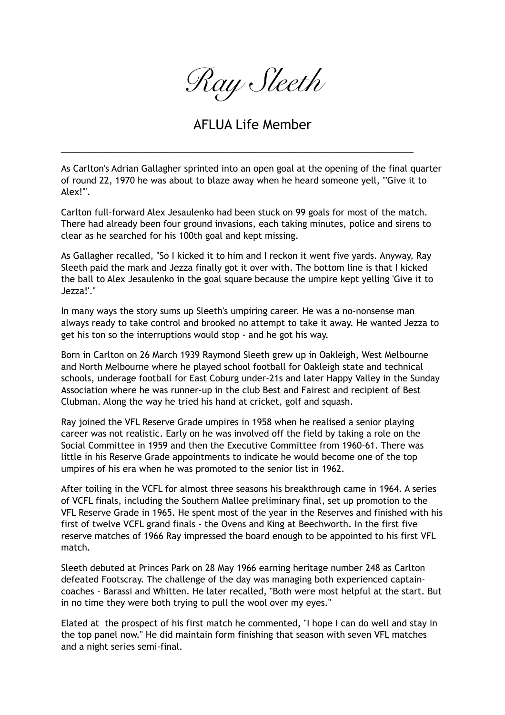*Ray Sleeth* 

## AFLUA Life Member

\_\_\_\_\_\_\_\_\_\_\_\_\_\_\_\_\_\_\_\_\_\_\_\_\_\_\_\_\_\_\_\_\_\_\_\_\_\_\_\_\_\_\_\_\_\_\_\_\_\_\_\_\_\_\_\_\_\_\_\_\_\_\_\_\_\_\_\_\_\_\_\_

As Carlton's Adrian Gallagher sprinted into an open goal at the opening of the final quarter of round 22, 1970 he was about to blaze away when he heard someone yell, "'Give it to Alex!'".

Carlton full-forward Alex Jesaulenko had been stuck on 99 goals for most of the match. There had already been four ground invasions, each taking minutes, police and sirens to clear as he searched for his 100th goal and kept missing.

As Gallagher recalled, "So I kicked it to him and I reckon it went five yards. Anyway, Ray Sleeth paid the mark and Jezza finally got it over with. The bottom line is that I kicked the ball to Alex Jesaulenko in the goal square because the umpire kept yelling 'Give it to Jezza!'."

In many ways the story sums up Sleeth's umpiring career. He was a no-nonsense man always ready to take control and brooked no attempt to take it away. He wanted Jezza to get his ton so the interruptions would stop - and he got his way.

Born in Carlton on 26 March 1939 Raymond Sleeth grew up in Oakleigh, West Melbourne and North Melbourne where he played school football for Oakleigh state and technical schools, underage football for East Coburg under-21s and later Happy Valley in the Sunday Association where he was runner-up in the club Best and Fairest and recipient of Best Clubman. Along the way he tried his hand at cricket, golf and squash.

Ray joined the VFL Reserve Grade umpires in 1958 when he realised a senior playing career was not realistic. Early on he was involved off the field by taking a role on the Social Committee in 1959 and then the Executive Committee from 1960-61. There was little in his Reserve Grade appointments to indicate he would become one of the top umpires of his era when he was promoted to the senior list in 1962.

After toiling in the VCFL for almost three seasons his breakthrough came in 1964. A series of VCFL finals, including the Southern Mallee preliminary final, set up promotion to the VFL Reserve Grade in 1965. He spent most of the year in the Reserves and finished with his first of twelve VCFL grand finals - the Ovens and King at Beechworth. In the first five reserve matches of 1966 Ray impressed the board enough to be appointed to his first VFL match.

Sleeth debuted at Princes Park on 28 May 1966 earning heritage number 248 as Carlton defeated Footscray. The challenge of the day was managing both experienced captaincoaches - Barassi and Whitten. He later recalled, "Both were most helpful at the start. But in no time they were both trying to pull the wool over my eyes."

Elated at the prospect of his first match he commented, "I hope I can do well and stay in the top panel now." He did maintain form finishing that season with seven VFL matches and a night series semi-final.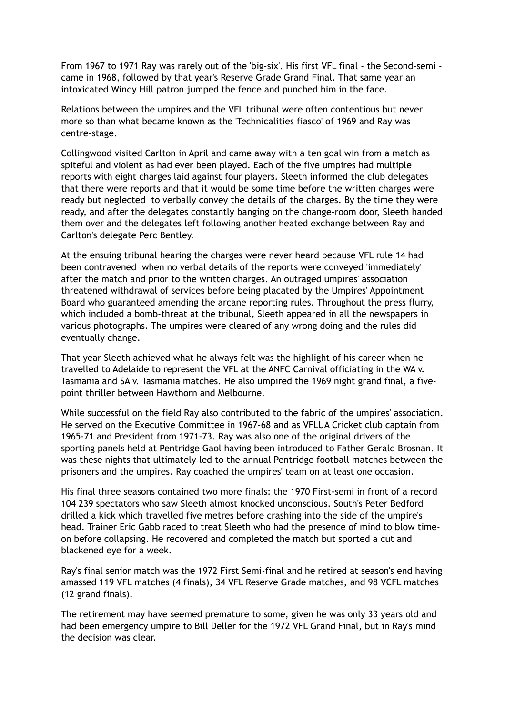From 1967 to 1971 Ray was rarely out of the 'big-six'. His first VFL final - the Second-semi came in 1968, followed by that year's Reserve Grade Grand Final. That same year an intoxicated Windy Hill patron jumped the fence and punched him in the face.

Relations between the umpires and the VFL tribunal were often contentious but never more so than what became known as the 'Technicalities fiasco' of 1969 and Ray was centre-stage.

Collingwood visited Carlton in April and came away with a ten goal win from a match as spiteful and violent as had ever been played. Each of the five umpires had multiple reports with eight charges laid against four players. Sleeth informed the club delegates that there were reports and that it would be some time before the written charges were ready but neglected to verbally convey the details of the charges. By the time they were ready, and after the delegates constantly banging on the change-room door, Sleeth handed them over and the delegates left following another heated exchange between Ray and Carlton's delegate Perc Bentley.

At the ensuing tribunal hearing the charges were never heard because VFL rule 14 had been contravened when no verbal details of the reports were conveyed 'immediately' after the match and prior to the written charges. An outraged umpires' association threatened withdrawal of services before being placated by the Umpires' Appointment Board who guaranteed amending the arcane reporting rules. Throughout the press flurry, which included a bomb-threat at the tribunal, Sleeth appeared in all the newspapers in various photographs. The umpires were cleared of any wrong doing and the rules did eventually change.

That year Sleeth achieved what he always felt was the highlight of his career when he travelled to Adelaide to represent the VFL at the ANFC Carnival officiating in the WA v. Tasmania and SA v. Tasmania matches. He also umpired the 1969 night grand final, a fivepoint thriller between Hawthorn and Melbourne.

While successful on the field Ray also contributed to the fabric of the umpires' association. He served on the Executive Committee in 1967-68 and as VFLUA Cricket club captain from 1965-71 and President from 1971-73. Ray was also one of the original drivers of the sporting panels held at Pentridge Gaol having been introduced to Father Gerald Brosnan. It was these nights that ultimately led to the annual Pentridge football matches between the prisoners and the umpires. Ray coached the umpires' team on at least one occasion.

His final three seasons contained two more finals: the 1970 First-semi in front of a record 104 239 spectators who saw Sleeth almost knocked unconscious. South's Peter Bedford drilled a kick which travelled five metres before crashing into the side of the umpire's head. Trainer Eric Gabb raced to treat Sleeth who had the presence of mind to blow timeon before collapsing. He recovered and completed the match but sported a cut and blackened eye for a week.

Ray's final senior match was the 1972 First Semi-final and he retired at season's end having amassed 119 VFL matches (4 finals), 34 VFL Reserve Grade matches, and 98 VCFL matches (12 grand finals).

The retirement may have seemed premature to some, given he was only 33 years old and had been emergency umpire to Bill Deller for the 1972 VFL Grand Final, but in Ray's mind the decision was clear.